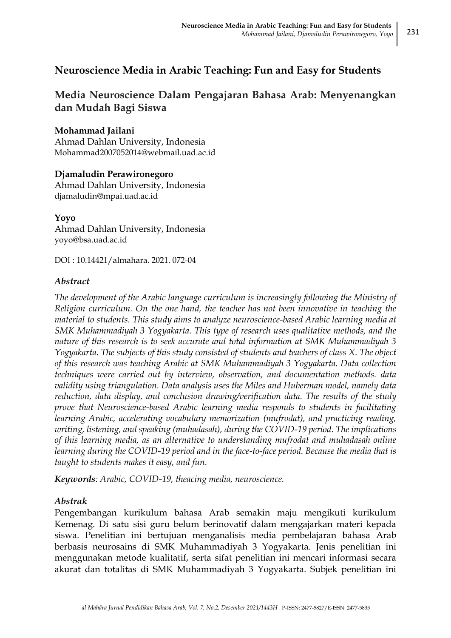# **Neuroscience Media in Arabic Teaching: Fun and Easy for Students**

# **Media Neuroscience Dalam Pengajaran Bahasa Arab: Menyenangkan dan Mudah Bagi Siswa**

# **Mohammad Jailani**

Ahmad Dahlan University, Indonesia [Mohammad2007052014@webmail.uad.ac.id](mailto:Mohammad2007052014@webmail.uad.ac.id)

# **Djamaludin Perawironegoro**

Ahmad Dahlan University, Indonesia [djamaludin@mpai.uad.ac.id](mailto:djamaludin@mpai.uad.ac.id)

**Yoyo** Ahmad Dahlan University, Indonesia [yoyo@bsa.uad.ac.id](mailto:yoyo@bsa.uad.ac.id)

DOI : 10.14421/almahara. 2021. 072-04

# *Abstract*

*The development of the Arabic language curriculum is increasingly following the Ministry of Religion curriculum. On the one hand, the teacher has not been innovative in teaching the material to students. This study aims to analyze neuroscience-based Arabic learning media at SMK Muhammadiyah 3 Yogyakarta. This type of research uses qualitative methods, and the nature of this research is to seek accurate and total information at SMK Muhammadiyah 3 Yogyakarta. The subjects of this study consisted of students and teachers of class X. The object of this research was teaching Arabic at SMK Muhammadiyah 3 Yogyakarta. Data collection techniques were carried out by interview, observation, and documentation methods. data validity using triangulation. Data analysis uses the Miles and Huberman model, namely data reduction, data display, and conclusion drawing/verification data. The results of the study prove that Neuroscience-based Arabic learning media responds to students in facilitating learning Arabic, accelerating vocabulary memorization (mufrodat), and practicing reading, writing, listening, and speaking (muhadasah), during the COVID-19 period. The implications of this learning media, as an alternative to understanding mufrodat and muhadasah online learning during the COVID-19 period and in the face-to-face period. Because the media that is taught to students makes it easy, and fun.*

*Keywords: Arabic, COVID-19, theacing media, neuroscience.*

# *Abstrak*

Pengembangan kurikulum bahasa Arab semakin maju mengikuti kurikulum Kemenag. Di satu sisi guru belum berinovatif dalam mengajarkan materi kepada siswa. Penelitian ini bertujuan menganalisis media pembelajaran bahasa Arab berbasis neurosains di SMK Muhammadiyah 3 Yogyakarta. Jenis penelitian ini menggunakan metode kualitatif, serta sifat penelitian ini mencari informasi secara akurat dan totalitas di SMK Muhammadiyah 3 Yogyakarta. Subjek penelitian ini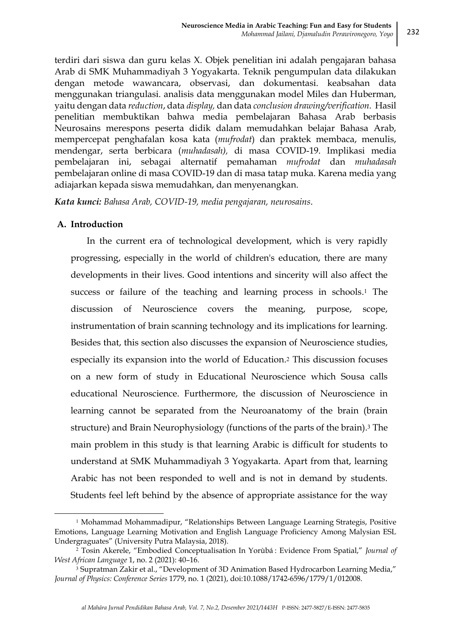terdiri dari siswa dan guru kelas X. Objek penelitian ini adalah pengajaran bahasa Arab di SMK Muhammadiyah 3 Yogyakarta. Teknik pengumpulan data dilakukan dengan metode wawancara, observasi, dan dokumentasi. keabsahan data menggunakan triangulasi. analisis data menggunakan model Miles dan Huberman, yaitu dengan data *reduction*, data *display,* dan data *conclusion drawing/verification.* Hasil penelitian membuktikan bahwa media pembelajaran Bahasa Arab berbasis Neurosains merespons peserta didik dalam memudahkan belajar Bahasa Arab, mempercepat penghafalan kosa kata (*mufrodat*) dan praktek membaca, menulis, mendengar, serta berbicara (*muhadasah),* di masa COVID-19. Implikasi media pembelajaran ini, sebagai alternatif pemahaman *mufrodat* dan *muhadasah* pembelajaran online di masa COVID-19 dan di masa tatap muka. Karena media yang adiajarkan kepada siswa memudahkan, dan menyenangkan.

*Kata kunci: Bahasa Arab, COVID-19, media pengajaran, neurosains*.

### **A. Introduction**

**.** 

In the current era of technological development, which is very rapidly progressing, especially in the world of children's education, there are many developments in their lives. Good intentions and sincerity will also affect the success or failure of the teaching and learning process in schools.<sup>1</sup> The discussion of Neuroscience covers the meaning, purpose, scope, instrumentation of brain scanning technology and its implications for learning. Besides that, this section also discusses the expansion of Neuroscience studies, especially its expansion into the world of Education.<sup>2</sup> This discussion focuses on a new form of study in Educational Neuroscience which Sousa calls educational Neuroscience. Furthermore, the discussion of Neuroscience in learning cannot be separated from the Neuroanatomy of the brain (brain structure) and Brain Neurophysiology (functions of the parts of the brain).<sup>3</sup> The main problem in this study is that learning Arabic is difficult for students to understand at SMK Muhammadiyah 3 Yogyakarta. Apart from that, learning Arabic has not been responded to well and is not in demand by students. Students feel left behind by the absence of appropriate assistance for the way

<sup>&</sup>lt;sup>1</sup> Mohammad Mohammadipur, "Relationships Between Language Learning Strategis, Positive Emotions, Language Learning Motivation and English Language Proficiency Among Malysian ESL Undergraguates" (University Putra Malaysia, 2018).

<sup>2</sup> Tosin Akerele, "Embodied Conceptualisation In Yorùbá : Evidence From Spatial," *Journal of West African Language* 1, no. 2 (2021): 40–16.

<sup>3</sup> Supratman Zakir et al., "Development of 3D Animation Based Hydrocarbon Learning Media," *Journal of Physics: Conference Series* 1779, no. 1 (2021), doi:10.1088/1742-6596/1779/1/012008.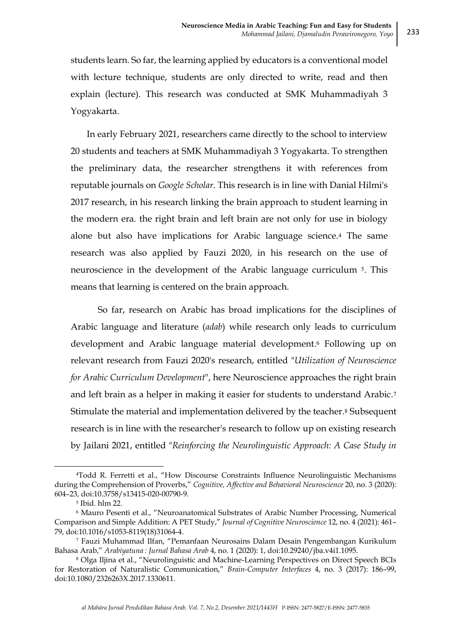students learn. So far, the learning applied by educators is a conventional model with lecture technique, students are only directed to write, read and then explain (lecture). This research was conducted at SMK Muhammadiyah 3 Yogyakarta.

In early February 2021, researchers came directly to the school to interview 20 students and teachers at SMK Muhammadiyah 3 Yogyakarta. To strengthen the preliminary data, the researcher strengthens it with references from reputable journals on *Google Scholar*. This research is in line with Danial Hilmi's 2017 research, in his research linking the brain approach to student learning in the modern era. the right brain and left brain are not only for use in biology alone but also have implications for Arabic language science.<sup>4</sup> The same research was also applied by Fauzi 2020, in his research on the use of neuroscience in the development of the Arabic language curriculum <sup>5</sup>. This means that learning is centered on the brain approach.

So far, research on Arabic has broad implications for the disciplines of Arabic language and literature (*adab*) while research only leads to curriculum development and Arabic language material development.<sup>6</sup> Following up on relevant research from Fauzi 2020's research, entitled "*Utilization of Neuroscience for Arabic Curriculum Development*", here Neuroscience approaches the right brain and left brain as a helper in making it easier for students to understand Arabic.<sup>7</sup> Stimulate the material and implementation delivered by the teacher.<sup>8</sup> Subsequent research is in line with the researcher's research to follow up on existing research by Jailani 2021, entitled "*Reinforcing the Neurolinguistic Approach: A Case Study in* 

<sup>4</sup>Todd R. Ferretti et al., "How Discourse Constraints Influence Neurolinguistic Mechanisms during the Comprehension of Proverbs," *Cognitive, Affective and Behavioral Neuroscience* 20, no. 3 (2020): 604–23, doi:10.3758/s13415-020-00790-9.

<sup>5</sup> Ibid. hlm 22.

<sup>6</sup> Mauro Pesenti et al., "Neuroanatomical Substrates of Arabic Number Processing, Numerical Comparison and Simple Addition: A PET Study," *Journal of Cognitive Neuroscience* 12, no. 4 (2021): 461– 79, doi:10.1016/s1053-8119(18)31064-4.

<sup>7</sup> Fauzi Muhammad Ilfan, "Pemanfaan Neurosains Dalam Desain Pengembangan Kurikulum Bahasa Arab," *Arabiyatuna : Jurnal Bahasa Arab* 4, no. 1 (2020): 1, doi:10.29240/jba.v4i1.1095.

<sup>8</sup> Olga Iljina et al., "Neurolinguistic and Machine-Learning Perspectives on Direct Speech BCIs for Restoration of Naturalistic Communication," *Brain-Computer Interfaces* 4, no. 3 (2017): 186–99, doi:10.1080/2326263X.2017.1330611.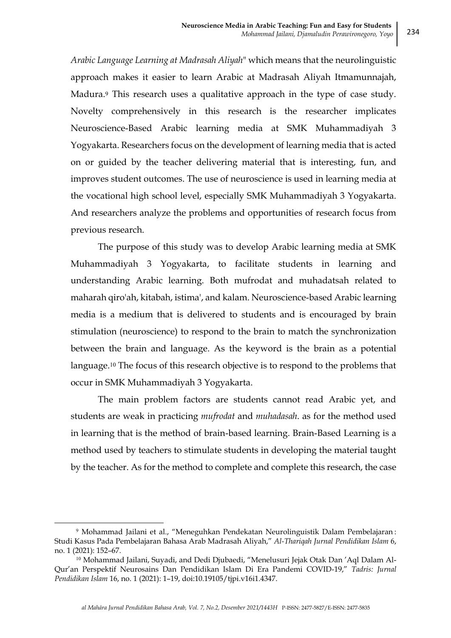*Arabic Language Learning at Madrasah Aliyah*" which means that the neurolinguistic approach makes it easier to learn Arabic at Madrasah Aliyah Itmamunnajah, Madura.<sup>9</sup> This research uses a qualitative approach in the type of case study. Novelty comprehensively in this research is the researcher implicates Neuroscience-Based Arabic learning media at SMK Muhammadiyah 3 Yogyakarta. Researchers focus on the development of learning media that is acted on or guided by the teacher delivering material that is interesting, fun, and improves student outcomes. The use of neuroscience is used in learning media at the vocational high school level, especially SMK Muhammadiyah 3 Yogyakarta. And researchers analyze the problems and opportunities of research focus from previous research.

The purpose of this study was to develop Arabic learning media at SMK Muhammadiyah 3 Yogyakarta, to facilitate students in learning and understanding Arabic learning. Both mufrodat and muhadatsah related to maharah qiro'ah, kitabah, istima', and kalam. Neuroscience-based Arabic learning media is a medium that is delivered to students and is encouraged by brain stimulation (neuroscience) to respond to the brain to match the synchronization between the brain and language. As the keyword is the brain as a potential language.<sup>10</sup> The focus of this research objective is to respond to the problems that occur in SMK Muhammadiyah 3 Yogyakarta.

The main problem factors are students cannot read Arabic yet, and students are weak in practicing *mufrodat* and *muhadasah*. as for the method used in learning that is the method of brain-based learning. Brain-Based Learning is a method used by teachers to stimulate students in developing the material taught by the teacher. As for the method to complete and complete this research, the case

<sup>9</sup> Mohammad Jailani et al., "Meneguhkan Pendekatan Neurolinguistik Dalam Pembelajaran : Studi Kasus Pada Pembelajaran Bahasa Arab Madrasah Aliyah," *Al-Thariqah Jurnal Pendidikan Islam* 6, no. 1 (2021): 152–67.

<sup>&</sup>lt;sup>10</sup> Mohammad Jailani, Suyadi, and Dedi Djubaedi, "Menelusuri Jejak Otak Dan 'Aql Dalam Al-Qur'an Perspektif Neurosains Dan Pendidikan Islam Di Era Pandemi COVID-19," *Tadris: Jurnal Pendidikan Islam* 16, no. 1 (2021): 1–19, doi:10.19105/tjpi.v16i1.4347.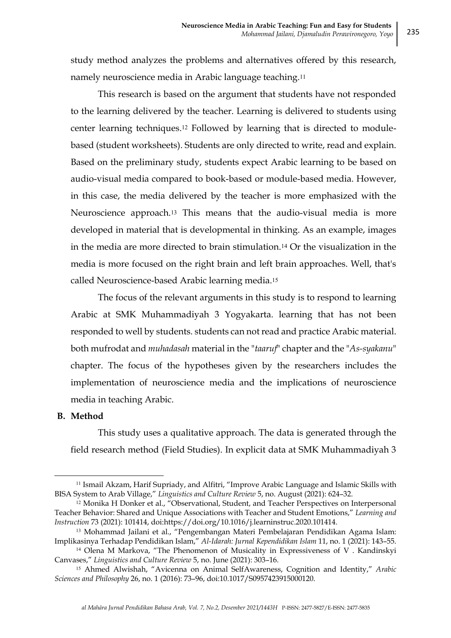study method analyzes the problems and alternatives offered by this research, namely neuroscience media in Arabic language teaching.<sup>11</sup>

This research is based on the argument that students have not responded to the learning delivered by the teacher. Learning is delivered to students using center learning techniques.<sup>12</sup> Followed by learning that is directed to modulebased (student worksheets). Students are only directed to write, read and explain. Based on the preliminary study, students expect Arabic learning to be based on audio-visual media compared to book-based or module-based media. However, in this case, the media delivered by the teacher is more emphasized with the Neuroscience approach.<sup>13</sup> This means that the audio-visual media is more developed in material that is developmental in thinking. As an example, images in the media are more directed to brain stimulation.<sup>14</sup> Or the visualization in the media is more focused on the right brain and left brain approaches. Well, that's called Neuroscience-based Arabic learning media.<sup>15</sup>

The focus of the relevant arguments in this study is to respond to learning Arabic at SMK Muhammadiyah 3 Yogyakarta. learning that has not been responded to well by students. students can not read and practice Arabic material. both mufrodat and *muhadasah* material in the "*taaruf*" chapter and the "*As-syakanu*" chapter. The focus of the hypotheses given by the researchers includes the implementation of neuroscience media and the implications of neuroscience media in teaching Arabic.

### **B. Method**

**.** 

This study uses a qualitative approach. The data is generated through the field research method (Field Studies). In explicit data at SMK Muhammadiyah 3

<sup>11</sup> Ismail Akzam, Harif Supriady, and Alfitri, "Improve Arabic Language and Islamic Skills with BISA System to Arab Village," *Linguistics and Culture Review* 5, no. August (2021): 624–32.

<sup>12</sup> Monika H Donker et al., "Observational, Student, and Teacher Perspectives on Interpersonal Teacher Behavior: Shared and Unique Associations with Teacher and Student Emotions," *Learning and Instruction* 73 (2021): 101414, doi:https://doi.org/10.1016/j.learninstruc.2020.101414.

<sup>13</sup> Mohammad Jailani et al., "Pengembangan Materi Pembelajaran Pendidikan Agama Islam: Implikasinya Terhadap Pendidikan Islam," *Al-Idarah: Jurnal Kependidikan Islam* 11, no. 1 (2021): 143–55.

<sup>&</sup>lt;sup>14</sup> Olena M Markova, "The Phenomenon of Musicality in Expressiveness of V. Kandinskyi Canvases," *Linguistics and Culture Review* 5, no. June (2021): 303–16.

<sup>15</sup> Ahmed Alwishah, "Avicenna on Animal SelfAwareness, Cognition and Identity," *Arabic Sciences and Philosophy* 26, no. 1 (2016): 73–96, doi:10.1017/S0957423915000120.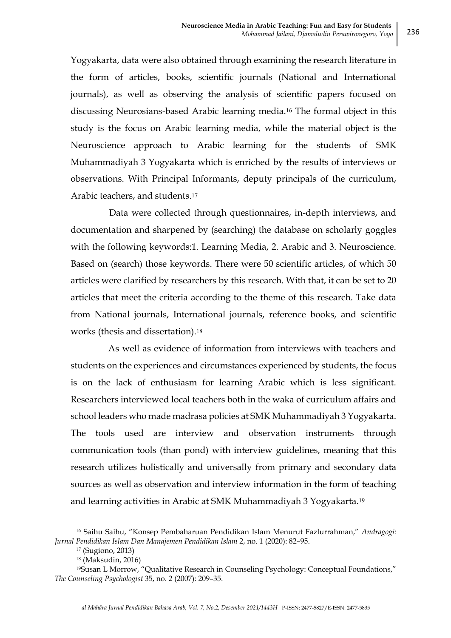Yogyakarta, data were also obtained through examining the research literature in the form of articles, books, scientific journals (National and International journals), as well as observing the analysis of scientific papers focused on discussing Neurosians-based Arabic learning media.<sup>16</sup> The formal object in this study is the focus on Arabic learning media, while the material object is the Neuroscience approach to Arabic learning for the students of SMK Muhammadiyah 3 Yogyakarta which is enriched by the results of interviews or observations. With Principal Informants, deputy principals of the curriculum, Arabic teachers, and students.<sup>17</sup>

Data were collected through questionnaires, in-depth interviews, and documentation and sharpened by (searching) the database on scholarly goggles with the following keywords:1. Learning Media, 2. Arabic and 3. Neuroscience. Based on (search) those keywords. There were 50 scientific articles, of which 50 articles were clarified by researchers by this research. With that, it can be set to 20 articles that meet the criteria according to the theme of this research. Take data from National journals, International journals, reference books, and scientific works (thesis and dissertation).<sup>18</sup>

As well as evidence of information from interviews with teachers and students on the experiences and circumstances experienced by students, the focus is on the lack of enthusiasm for learning Arabic which is less significant. Researchers interviewed local teachers both in the waka of curriculum affairs and school leaders who made madrasa policies at SMK Muhammadiyah 3 Yogyakarta. The tools used are interview and observation instruments through communication tools (than pond) with interview guidelines, meaning that this research utilizes holistically and universally from primary and secondary data sources as well as observation and interview information in the form of teaching and learning activities in Arabic at SMK Muhammadiyah 3 Yogyakarta.<sup>19</sup>

<sup>16</sup> Saihu Saihu, "Konsep Pembaharuan Pendidikan Islam Menurut Fazlurrahman," *Andragogi: Jurnal Pendidikan Islam Dan Manajemen Pendidikan Islam* 2, no. 1 (2020): 82–95.

<sup>17</sup> (Sugiono, 2013)

<sup>18</sup> (Maksudin, 2016)

<sup>19</sup>Susan L Morrow, "Qualitative Research in Counseling Psychology: Conceptual Foundations," *The Counseling Psychologist* 35, no. 2 (2007): 209–35.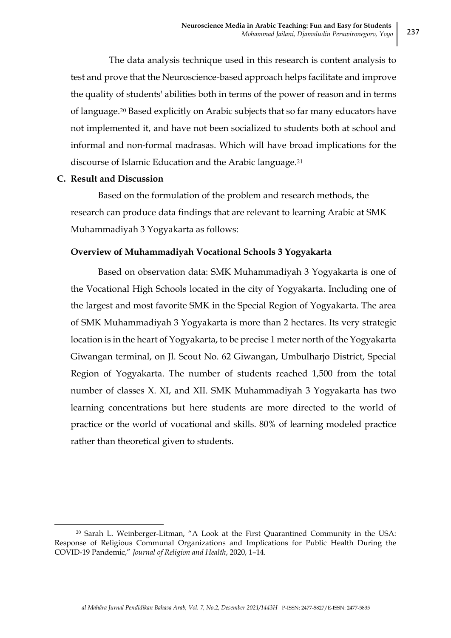The data analysis technique used in this research is content analysis to test and prove that the Neuroscience-based approach helps facilitate and improve the quality of students' abilities both in terms of the power of reason and in terms of language.<sup>20</sup> Based explicitly on Arabic subjects that so far many educators have not implemented it, and have not been socialized to students both at school and informal and non-formal madrasas. Which will have broad implications for the discourse of Islamic Education and the Arabic language.<sup>21</sup>

## **C. Result and Discussion**

**.** 

Based on the formulation of the problem and research methods, the research can produce data findings that are relevant to learning Arabic at SMK Muhammadiyah 3 Yogyakarta as follows:

## **Overview of Muhammadiyah Vocational Schools 3 Yogyakarta**

Based on observation data: SMK Muhammadiyah 3 Yogyakarta is one of the Vocational High Schools located in the city of Yogyakarta. Including one of the largest and most favorite SMK in the Special Region of Yogyakarta. The area of SMK Muhammadiyah 3 Yogyakarta is more than 2 hectares. Its very strategic location is in the heart of Yogyakarta, to be precise 1 meter north of the Yogyakarta Giwangan terminal, on Jl. Scout No. 62 Giwangan, Umbulharjo District, Special Region of Yogyakarta. The number of students reached 1,500 from the total number of classes X. XI, and XII. SMK Muhammadiyah 3 Yogyakarta has two learning concentrations but here students are more directed to the world of practice or the world of vocational and skills. 80% of learning modeled practice rather than theoretical given to students.

<sup>20</sup> Sarah L. Weinberger-Litman, "A Look at the First Quarantined Community in the USA: Response of Religious Communal Organizations and Implications for Public Health During the COVID-19 Pandemic," *Journal of Religion and Health*, 2020, 1–14.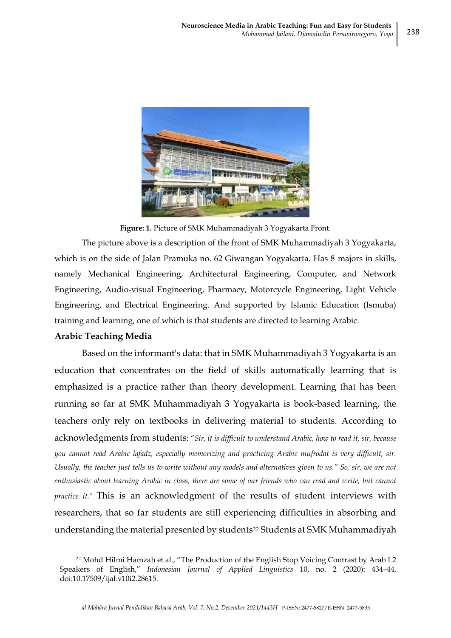238



**Figure: 1.** Picture of SMK Muhammadiyah 3 Yogyakarta Front.

The picture above is a description of the front of SMK Muhammadiyah 3 Yogyakarta, which is on the side of Jalan Pramuka no. 62 Giwangan Yogyakarta. Has 8 majors in skills, namely Mechanical Engineering, Architectural Engineering, Computer, and Network Engineering, Audio-visual Engineering, Pharmacy, Motorcycle Engineering, Light Vehicle Engineering, and Electrical Engineering. And supported by Islamic Education (Ismuba) training and learning, one of which is that students are directed to learning Arabic.

### **Arabic Teaching Media**

1

Based on the informant's data: that in SMK Muhammadiyah 3 Yogyakarta is an education that concentrates on the field of skills automatically learning that is emphasized is a practice rather than theory development. Learning that has been running so far at SMK Muhammadiyah 3 Yogyakarta is book-based learning, the teachers only rely on textbooks in delivering material to students. According to acknowledgments from students: "*Sir, it is difficult to understand Arabic, how to read it, sir, because you cannot read Arabic lafadz, especially memorizing and practicing Arabic mufrodat is very difficult, sir. Usually, the teacher just tells us to write without any models and alternatives given to us." So, sir, we are not enthusiastic about learning Arabic in class, there are some of our friends who can read and write, but cannot practice it.*" This is an acknowledgment of the results of student interviews with researchers, that so far students are still experiencing difficulties in absorbing and understanding the material presented by students<sup>22</sup> Students at SMK Muhammadiyah

<sup>22</sup> Mohd Hilmi Hamzah et al., "The Production of the English Stop Voicing Contrast by Arab L2 Speakers of English," *Indonesian Journal of Applied Linguistics* 10, no. 2 (2020): 434–44, doi:10.17509/ijal.v10i2.28615.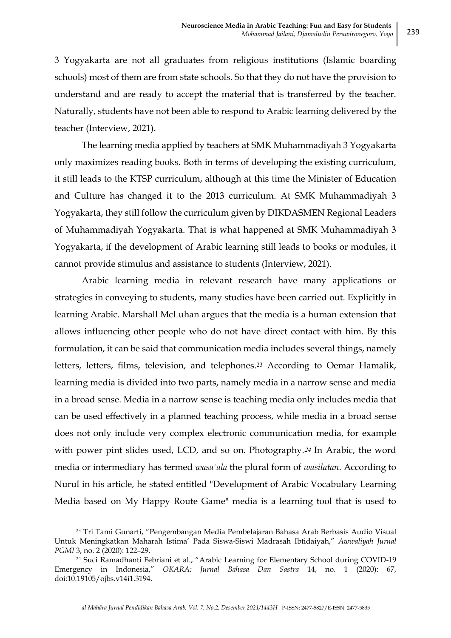3 Yogyakarta are not all graduates from religious institutions (Islamic boarding schools) most of them are from state schools. So that they do not have the provision to understand and are ready to accept the material that is transferred by the teacher. Naturally, students have not been able to respond to Arabic learning delivered by the teacher (Interview, 2021).

The learning media applied by teachers at SMK Muhammadiyah 3 Yogyakarta only maximizes reading books. Both in terms of developing the existing curriculum, it still leads to the KTSP curriculum, although at this time the Minister of Education and Culture has changed it to the 2013 curriculum. At SMK Muhammadiyah 3 Yogyakarta, they still follow the curriculum given by DIKDASMEN Regional Leaders of Muhammadiyah Yogyakarta. That is what happened at SMK Muhammadiyah 3 Yogyakarta, if the development of Arabic learning still leads to books or modules, it cannot provide stimulus and assistance to students (Interview, 2021).

Arabic learning media in relevant research have many applications or strategies in conveying to students, many studies have been carried out. Explicitly in learning Arabic. Marshall McLuhan argues that the media is a human extension that allows influencing other people who do not have direct contact with him. By this formulation, it can be said that communication media includes several things, namely letters, letters, films, television, and telephones.<sup>23</sup> According to Oemar Hamalik, learning media is divided into two parts, namely media in a narrow sense and media in a broad sense. Media in a narrow sense is teaching media only includes media that can be used effectively in a planned teaching process, while media in a broad sense does not only include very complex electronic communication media, for example with power pint slides used, LCD, and so on. Photography.<sup>24</sup> In Arabic, the word media or intermediary has termed *wasa'ala* the plural form of *wasilatan*. According to Nurul in his article, he stated entitled "Development of Arabic Vocabulary Learning Media based on My Happy Route Game" media is a learning tool that is used to

<sup>23</sup> Tri Tami Gunarti, "Pengembangan Media Pembelajaran Bahasa Arab Berbasis Audio Visual Untuk Meningkatkan Maharah Istima' Pada Siswa-Siswi Madrasah Ibtidaiyah," *Awwaliyah Jurnal PGMI* 3, no. 2 (2020): 122–29.

<sup>24</sup> Suci Ramadhanti Febriani et al., "Arabic Learning for Elementary School during COVID-19 Emergency in Indonesia," *OKARA: Jurnal Bahasa Dan Sastra* 14, no. 1 (2020): 67, doi:10.19105/ojbs.v14i1.3194.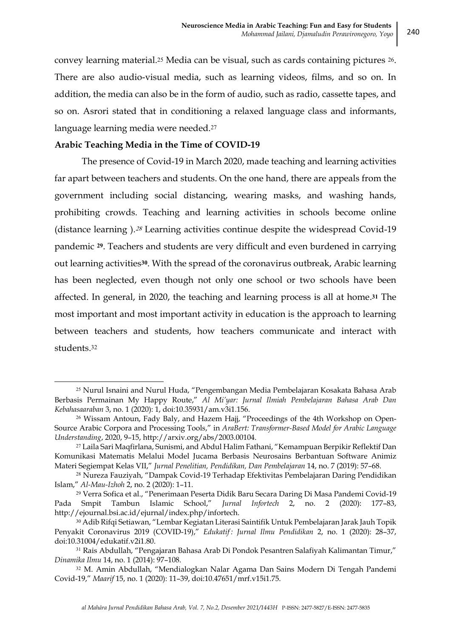convey learning material.<sup>25</sup> Media can be visual, such as cards containing pictures 26. There are also audio-visual media, such as learning videos, films, and so on. In addition, the media can also be in the form of audio, such as radio, cassette tapes, and so on. Asrori stated that in conditioning a relaxed language class and informants, language learning media were needed.<sup>27</sup>

### **Arabic Teaching Media in the Time of COVID-19**

**.** 

The presence of Covid-19 in March 2020, made teaching and learning activities far apart between teachers and students. On the one hand, there are appeals from the government including social distancing, wearing masks, and washing hands, prohibiting crowds. Teaching and learning activities in schools become online (distance learning ).<sup>28</sup> Learning activities continue despite the widespread Covid-19 pandemic **29**. Teachers and students are very difficult and even burdened in carrying out learning activities**30**. With the spread of the coronavirus outbreak, Arabic learning has been neglected, even though not only one school or two schools have been affected. In general, in 2020, the teaching and learning process is all at home.**<sup>31</sup>** The most important and most important activity in education is the approach to learning between teachers and students, how teachers communicate and interact with students.<sup>32</sup>

<sup>25</sup> Nurul Isnaini and Nurul Huda, "Pengembangan Media Pembelajaran Kosakata Bahasa Arab Berbasis Permainan My Happy Route," *Al Mi'yar: Jurnal Ilmiah Pembelajaran Bahasa Arab Dan Kebahasaaraban* 3, no. 1 (2020): 1, doi:10.35931/am.v3i1.156.

<sup>26</sup> Wissam Antoun, Fady Baly, and Hazem Hajj, "Proceedings of the 4th Workshop on Open-Source Arabic Corpora and Processing Tools," in *AraBert: Transformer-Based Model for Arabic Language Understanding*, 2020, 9–15, http://arxiv.org/abs/2003.00104.

<sup>27</sup> Laila Sari Maqfirlana, Sunismi, and Abdul Halim Fathani, "Kemampuan Berpikir Reflektif Dan Komunikasi Matematis Melalui Model Jucama Berbasis Neurosains Berbantuan Software Animiz Materi Segiempat Kelas VII," *Jurnal Penelitian, Pendidikan, Dan Pembelajaran* 14, no. 7 (2019): 57–68.

<sup>28</sup> Nureza Fauziyah, "Dampak Covid-19 Terhadap Efektivitas Pembelajaran Daring Pendidikan Islam," *Al-Mau-Izhoh* 2, no. 2 (2020): 1–11.

<sup>29</sup> Verra Sofica et al., "Penerimaan Peserta Didik Baru Secara Daring Di Masa Pandemi Covid-19 Pada Smpit Tambun Islamic School," *Jurnal Infortech* 2, no. 2 (2020): 177–83, http://ejournal.bsi.ac.id/ejurnal/index.php/infortech.

<sup>30</sup> Adib Rifqi Setiawan, "Lembar Kegiatan Literasi Saintifik Untuk Pembelajaran Jarak Jauh Topik Penyakit Coronavirus 2019 (COVID-19)," *Edukatif : Jurnal Ilmu Pendidikan* 2, no. 1 (2020): 28–37, doi:10.31004/edukatif.v2i1.80.

<sup>31</sup> Rais Abdullah, "Pengajaran Bahasa Arab Di Pondok Pesantren Salafiyah Kalimantan Timur," *Dinamika Ilmu* 14, no. 1 (2014): 97–108.

<sup>32</sup> M. Amin Abdullah, "Mendialogkan Nalar Agama Dan Sains Modern Di Tengah Pandemi Covid-19," *Maarif* 15, no. 1 (2020): 11–39, doi:10.47651/mrf.v15i1.75.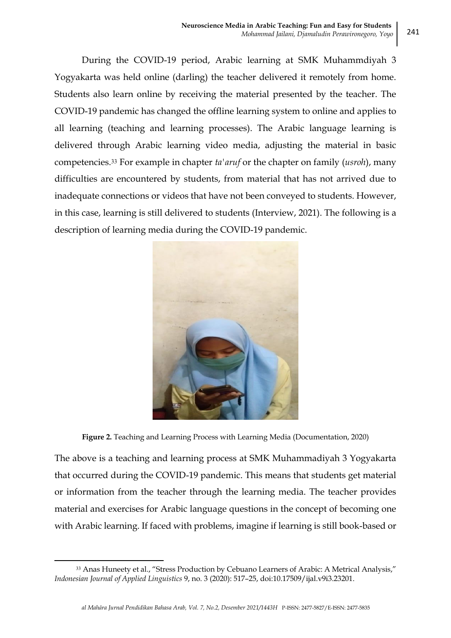During the COVID-19 period, Arabic learning at SMK Muhammdiyah 3 Yogyakarta was held online (darling) the teacher delivered it remotely from home. Students also learn online by receiving the material presented by the teacher. The COVID-19 pandemic has changed the offline learning system to online and applies to all learning (teaching and learning processes). The Arabic language learning is delivered through Arabic learning video media, adjusting the material in basic competencies.<sup>33</sup> For example in chapter *ta'aruf* or the chapter on family (*usroh*), many difficulties are encountered by students, from material that has not arrived due to inadequate connections or videos that have not been conveyed to students. However, in this case, learning is still delivered to students (Interview, 2021). The following is a description of learning media during the COVID-19 pandemic.



**Figure 2.** Teaching and Learning Process with Learning Media (Documentation, 2020)

The above is a teaching and learning process at SMK Muhammadiyah 3 Yogyakarta that occurred during the COVID-19 pandemic. This means that students get material or information from the teacher through the learning media. The teacher provides material and exercises for Arabic language questions in the concept of becoming one with Arabic learning. If faced with problems, imagine if learning is still book-based or

1

<sup>33</sup> Anas Huneety et al., "Stress Production by Cebuano Learners of Arabic: A Metrical Analysis," *Indonesian Journal of Applied Linguistics* 9, no. 3 (2020): 517–25, doi:10.17509/ijal.v9i3.23201.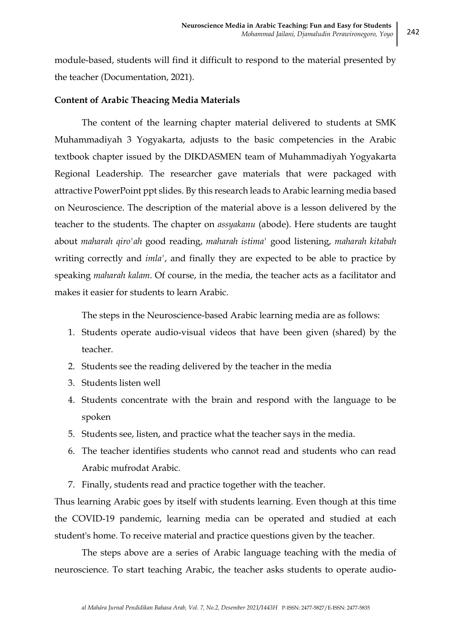module-based, students will find it difficult to respond to the material presented by the teacher (Documentation, 2021).

## **Content of Arabic Theacing Media Materials**

The content of the learning chapter material delivered to students at SMK Muhammadiyah 3 Yogyakarta, adjusts to the basic competencies in the Arabic textbook chapter issued by the DIKDASMEN team of Muhammadiyah Yogyakarta Regional Leadership. The researcher gave materials that were packaged with attractive PowerPoint ppt slides. By this research leads to Arabic learning media based on Neuroscience. The description of the material above is a lesson delivered by the teacher to the students. The chapter on *assyakanu* (abode). Here students are taught about *maharah qiro'ah* good reading, *maharah istima'* good listening, *maharah kitabah* writing correctly and *imla'*, and finally they are expected to be able to practice by speaking *maharah kalam*. Of course, in the media, the teacher acts as a facilitator and makes it easier for students to learn Arabic.

The steps in the Neuroscience-based Arabic learning media are as follows:

- 1. Students operate audio-visual videos that have been given (shared) by the teacher.
- 2. Students see the reading delivered by the teacher in the media
- 3. Students listen well
- 4. Students concentrate with the brain and respond with the language to be spoken
- 5. Students see, listen, and practice what the teacher says in the media.
- 6. The teacher identifies students who cannot read and students who can read Arabic mufrodat Arabic.
- 7. Finally, students read and practice together with the teacher.

Thus learning Arabic goes by itself with students learning. Even though at this time the COVID-19 pandemic, learning media can be operated and studied at each student's home. To receive material and practice questions given by the teacher.

The steps above are a series of Arabic language teaching with the media of neuroscience. To start teaching Arabic, the teacher asks students to operate audio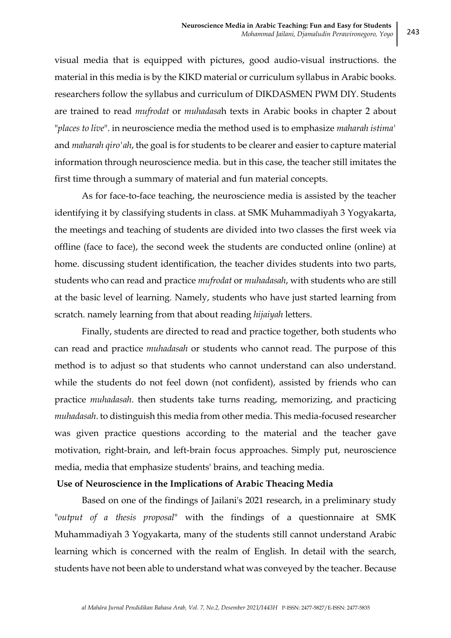visual media that is equipped with pictures, good audio-visual instructions. the material in this media is by the KIKD material or curriculum syllabus in Arabic books. researchers follow the syllabus and curriculum of DIKDASMEN PWM DIY. Students are trained to read *mufrodat* or *muhadasa*h texts in Arabic books in chapter 2 about "*places to live*". in neuroscience media the method used is to emphasize *maharah istima'* and *maharah qiro'ah*, the goal is for students to be clearer and easier to capture material information through neuroscience media. but in this case, the teacher still imitates the first time through a summary of material and fun material concepts.

As for face-to-face teaching, the neuroscience media is assisted by the teacher identifying it by classifying students in class. at SMK Muhammadiyah 3 Yogyakarta, the meetings and teaching of students are divided into two classes the first week via offline (face to face), the second week the students are conducted online (online) at home. discussing student identification, the teacher divides students into two parts, students who can read and practice *mufrodat* or *muhadasah*, with students who are still at the basic level of learning. Namely, students who have just started learning from scratch. namely learning from that about reading *hijaiyah* letters.

Finally, students are directed to read and practice together, both students who can read and practice *muhadasah* or students who cannot read. The purpose of this method is to adjust so that students who cannot understand can also understand. while the students do not feel down (not confident), assisted by friends who can practice *muhadasah*. then students take turns reading, memorizing, and practicing *muhadasah*. to distinguish this media from other media. This media-focused researcher was given practice questions according to the material and the teacher gave motivation, right-brain, and left-brain focus approaches. Simply put, neuroscience media, media that emphasize students' brains, and teaching media.

### **Use of Neuroscience in the Implications of Arabic Theacing Media**

Based on one of the findings of Jailani's 2021 research, in a preliminary study "*output of a thesis proposal*" with the findings of a questionnaire at SMK Muhammadiyah 3 Yogyakarta, many of the students still cannot understand Arabic learning which is concerned with the realm of English. In detail with the search, students have not been able to understand what was conveyed by the teacher. Because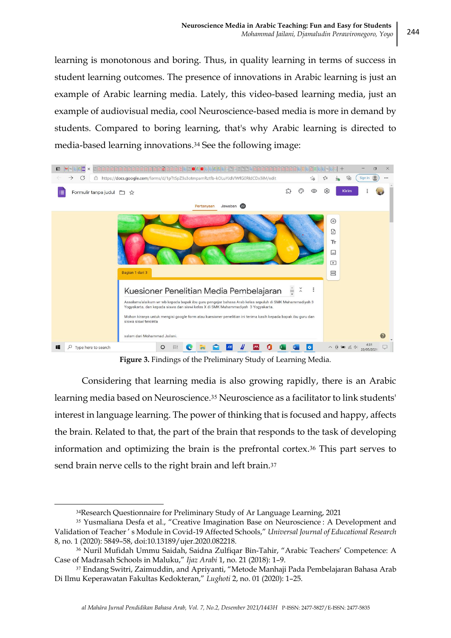learning is monotonous and boring. Thus, in quality learning in terms of success in student learning outcomes. The presence of innovations in Arabic learning is just an example of Arabic learning media. Lately, this video-based learning media, just an example of audiovisual media, cool Neuroscience-based media is more in demand by students. Compared to boring learning, that's why Arabic learning is directed to media-based learning innovations.<sup>34</sup> See the following image:



**Figure 3.** Findings of the Preliminary Study of Learning Media.

Considering that learning media is also growing rapidly, there is an Arabic learning media based on Neuroscience.<sup>35</sup> Neuroscience as a facilitator to link students' interest in language learning. The power of thinking that is focused and happy, affects the brain. Related to that, the part of the brain that responds to the task of developing information and optimizing the brain is the prefrontal cortex.<sup>36</sup> This part serves to send brain nerve cells to the right brain and left brain.<sup>37</sup>

<sup>34</sup>Research Questionnaire for Preliminary Study of Ar Language Learning, 2021

<sup>35</sup> Yusmaliana Desfa et al., "Creative Imagination Base on Neuroscience : A Development and Validation of Teacher ' s Module in Covid-19 Affected Schools," *Universal Journal of Educational Research* 8, no. 1 (2020): 5849–58, doi:10.13189/ujer.2020.082218.

<sup>36</sup> Nuril Mufidah Ummu Saidah, Saidna Zulfiqar Bin-Tahir, "Arabic Teachers' Competence: A Case of Madrasah Schools in Maluku," *Ijaz Arabi* 1, no. 21 (2018): 1–9.

<sup>37</sup> Endang Switri, Zaimuddin, and Apriyanti, "Metode Manhaji Pada Pembelajaran Bahasa Arab Di Ilmu Keperawatan Fakultas Kedokteran," *Lughoti* 2, no. 01 (2020): 1–25.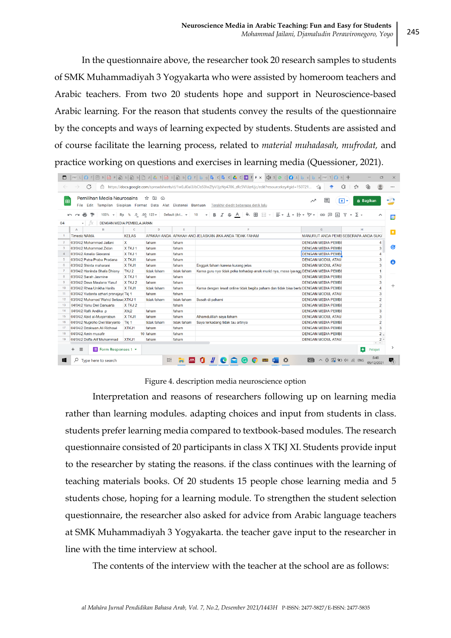In the questionnaire above, the researcher took 20 research samples to students of SMK Muhammadiyah 3 Yogyakarta who were assisted by homeroom teachers and Arabic teachers. From two 20 students hope and support in Neuroscience-based Arabic learning. For the reason that students convey the results of the questionnaire by the concepts and ways of learning expected by students. Students are assisted and of course facilitate the learning process, related to *material muhadasah, mufrodat,* and practice working on questions and exercises in learning media (Quessioner, 2021).

|                | G                                                                                           |                  |                          |                | ch https://docs.google.com/spreadsheets/d/1wEuI0aI3JbClsS0IwZfyV3izNy4706_zRc5VIUzrUic/edit?resourcekey#gid=150721 | €<br>సం                                                            | 庙<br>ร์≅                        |
|----------------|---------------------------------------------------------------------------------------------|------------------|--------------------------|----------------|--------------------------------------------------------------------------------------------------------------------|--------------------------------------------------------------------|---------------------------------|
| 田              | Pemilihan Media Neurosains<br>File Edit Tampilan Sisipkan Format Data Alat Ekstensi Bantuan |                  | ☆<br>$\overline{a}$<br>↷ |                | Terakhir diedit beberapa detik lalu                                                                                | $\equiv$<br>দে∗                                                    | a Bagikan                       |
|                | Þ<br>100%<br><b>Rp</b>                                                                      | .0<br>%          | $.00 \quad 123 -$        | Default (Ari ~ | 田<br>三 → ↓ → 1→ → ♡ →<br>들로<br>B<br>음<br>10                                                                        | $\Box$<br>GD<br>$\overline{ab}$<br>$\triangledown$<br>$\mathbf{v}$ | $\sum$ +<br>$\hat{\phantom{a}}$ |
| G <sub>4</sub> | DENGAN MEDIA PEMBELAJARAN                                                                   |                  |                          |                |                                                                                                                    |                                                                    |                                 |
|                | B<br>A                                                                                      | C.               | D                        | E              |                                                                                                                    | G                                                                  | H                               |
|                | <b>Timesta NAMA</b>                                                                         | <b>KELAS</b>     |                          |                | APAKAH ANDA APAKAH AND JELASKAN JIKA ANDA TIDAK FAHAM                                                              | MANURUT ANDA PEMB SEBERAPA ANDA SUKA                               |                                 |
| $\overline{2}$ | 03/04/2 Mohammad Jailani                                                                    | $\mathbf{x}$     | faham                    | faham          |                                                                                                                    | <b>DENGAN MEDIA PEMBE</b>                                          |                                 |
| 3              | 03/04/2 Muhammad Zidan                                                                      | X TKJ 1          | faham                    | faham          |                                                                                                                    | <b>DENGAN MEDIA PEMBE</b>                                          | Ø<br>3                          |
|                | 03/04/2 Amelia Giovanni                                                                     | X TKJ 1          | faham                    | faham          |                                                                                                                    | <b>DENGAN MEDIA PEMBI</b>                                          | $\boldsymbol{\Lambda}$          |
| 5              | 03/04/2 Putra Praba Pradana                                                                 | X TKJ1           | faham                    | faham          |                                                                                                                    | <b>DENGAN MODUL ATAU</b>                                           | 3                               |
| 6              | 03/04/2 Shinta maharani                                                                     | X TKJ1           | faham                    | faham          | Enggak faham karena kurang jelas                                                                                   | <b>DENGAN MODUL ATAU</b>                                           | 3                               |
|                | 03/04/2 Haninda Shafa Dhiany                                                                | TKJ <sub>2</sub> | tidak faham              | tidak faham    | Karna guru nya tidak peka terhadap anak murid nya, masa iya ngg DENGAN MEDIA PEMBI                                 |                                                                    |                                 |
| 8              | 03/04/2 Sarah Jasmine                                                                       | X TKJ 1          | faham                    | faham          |                                                                                                                    | <b>DENGAN MEDIA PEMBE</b>                                          | 3                               |
| $\mathbf{Q}$   | 03/04/2 Dava Maulana Yusuf                                                                  | X TKJ 2          | faham                    | faham          |                                                                                                                    | <b>DENGAN MEDIA PEMBE</b>                                          | 3                               |
| 10             | 03/04/2 Rhea Unikha Harits                                                                  | X TKJ1           | tidak faham              | faham          | Karna dengan lewat online tidak begitu paham dan tidak bisa berta DENGAN MEDIA PEMBI                               |                                                                    | $\boldsymbol{A}$                |
| 11             | 03/04/2 Yudanta azhari pranajaya Tkj 1                                                      |                  | faham                    | faham          |                                                                                                                    | <b>DENGAN MODUL ATAU</b>                                           | 3                               |
| 12             | 03/04/2 Muhamad Wahid Setiawa XTKJ 1                                                        |                  | tidak faham              | tidak faham    | Susah di pahami                                                                                                    | <b>DENGAN MEDIA PEMBE</b>                                          | $\overline{2}$                  |
| 13             | 04/04/2 Yanu Dwi Danuarta                                                                   | X TKJ 2          |                          | faham          |                                                                                                                    | <b>DENGAN MEDIA PEMBE</b>                                          | $\overline{2}$                  |
| 14             | 04/04/2 Rafli Andika .p                                                                     | Xtkj2            | faham                    | faham          |                                                                                                                    | <b>DENGAN MEDIA PEMBE</b>                                          | 3                               |
| 15             | 04/04/2 Abid al-Muqarrabun                                                                  | X TKJ1           | faham                    | faham          | Alhamdulillah saya faham                                                                                           | <b>DENGAN MODUL ATAU</b>                                           | 3                               |
| 16             | 04/04/2 Nugroho Dwi Maryanto                                                                | Tki <sub>1</sub> | tidak faham              | tidak faham    | Saya terkadang tidak tau artinya                                                                                   | <b>DENGAN MEDIA PEMBE</b>                                          | $\overline{2}$                  |
| 17             | 04/04/2 Dzakwan Ali Ridhawi                                                                 | XTKJ1            | faham                    | faham          |                                                                                                                    | <b>DENGAN MEDIA PEMBE</b>                                          | 3                               |
| 18             | 04/04/2 Amin musafir                                                                        |                  | 10 faham                 | faham          |                                                                                                                    | <b>DENGAN MEDIA PEMBE</b>                                          | 2 <sub>1</sub>                  |
| 19             | 04/04/2 Daffa Alif Muhammad                                                                 | XTKJ1            | faham                    | faham          |                                                                                                                    | <b>DENGAN MODUL ATAU</b>                                           | $2 -$<br>$\leftarrow$           |
|                | Form Responses 1 v<br>$\equiv$<br>$\ddot{}$                                                 |                  |                          |                |                                                                                                                    |                                                                    | $\leftarrow$<br>Pelajari        |

Figure 4. description media neuroscience option

Interpretation and reasons of researchers following up on learning media rather than learning modules. adapting choices and input from students in class. students prefer learning media compared to textbook-based modules. The research questionnaire consisted of 20 participants in class X TKJ XI. Students provide input to the researcher by stating the reasons. if the class continues with the learning of teaching materials books. Of 20 students 15 people chose learning media and 5 students chose, hoping for a learning module. To strengthen the student selection questionnaire, the researcher also asked for advice from Arabic language teachers at SMK Muhammadiyah 3 Yogyakarta. the teacher gave input to the researcher in line with the time interview at school.

The contents of the interview with the teacher at the school are as follows: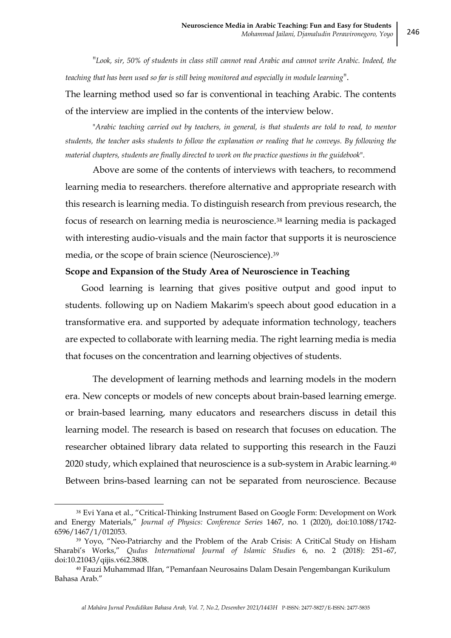"*Look, sir, 50% of students in class still cannot read Arabic and cannot write Arabic. Indeed, the teaching that has been used so far is still being monitored and especially in module learning*".

The learning method used so far is conventional in teaching Arabic. The contents of the interview are implied in the contents of the interview below.

"*Arabic teaching carried out by teachers, in general, is that students are told to read, to mentor students, the teacher asks students to follow the explanation or reading that he conveys. By following the material chapters, students are finally directed to work on the practice questions in the guidebook*".

Above are some of the contents of interviews with teachers, to recommend learning media to researchers. therefore alternative and appropriate research with this research is learning media. To distinguish research from previous research, the focus of research on learning media is neuroscience.<sup>38</sup> learning media is packaged with interesting audio-visuals and the main factor that supports it is neuroscience media, or the scope of brain science (Neuroscience).<sup>39</sup>

### **Scope and Expansion of the Study Area of Neuroscience in Teaching**

Good learning is learning that gives positive output and good input to students. following up on Nadiem Makarim's speech about good education in a transformative era. and supported by adequate information technology, teachers are expected to collaborate with learning media. The right learning media is media that focuses on the concentration and learning objectives of students.

The development of learning methods and learning models in the modern era. New concepts or models of new concepts about brain-based learning emerge. or brain-based learning, many educators and researchers discuss in detail this learning model. The research is based on research that focuses on education. The researcher obtained library data related to supporting this research in the Fauzi 2020 study, which explained that neuroscience is a sub-system in Arabic learning.<sup>40</sup> Between brins-based learning can not be separated from neuroscience. Because

<sup>38</sup> Evi Yana et al., "Critical-Thinking Instrument Based on Google Form: Development on Work and Energy Materials," *Journal of Physics: Conference Series* 1467, no. 1 (2020), doi:10.1088/1742- 6596/1467/1/012053.

<sup>&</sup>lt;sup>39</sup> Yoyo, "Neo-Patriarchy and the Problem of the Arab Crisis: A CritiCal Study on Hisham Sharabi's Works," *Qudus International Journal of Islamic Studies* 6, no. 2 (2018): 251–67, doi:10.21043/qijis.v6i2.3808.

<sup>40</sup> Fauzi Muhammad Ilfan, "Pemanfaan Neurosains Dalam Desain Pengembangan Kurikulum Bahasa Arab."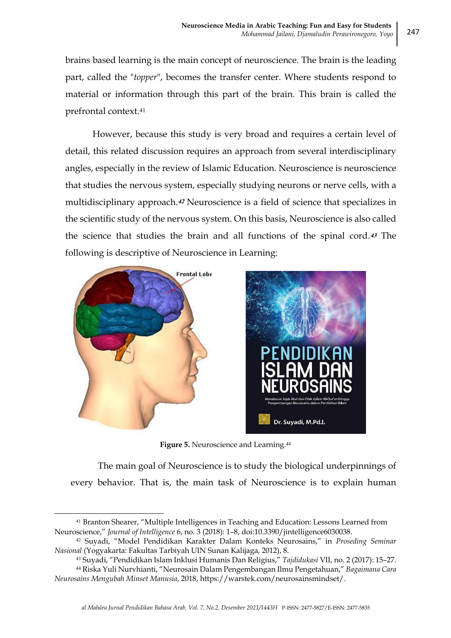brains based learning is the main concept of neuroscience. The brain is the leading part, called the "*topper*", becomes the transfer center. Where students respond to material or information through this part of the brain. This brain is called the prefrontal context.<sup>41</sup>

However, because this study is very broad and requires a certain level of detail, this related discussion requires an approach from several interdisciplinary angles, especially in the review of Islamic Education. Neuroscience is neuroscience that studies the nervous system, especially studying neurons or nerve cells, with a multidisciplinary approach.**<sup>42</sup>** Neuroscience is a field of science that specializes in the scientific study of the nervous system. On this basis, Neuroscience is also called the science that studies the brain and all functions of the spinal cord.**<sup>43</sup>** The following is descriptive of Neuroscience in Learning:



**.** 



**Figure 5.** Neuroscience and Learning. 44

The main goal of Neuroscience is to study the biological underpinnings of every behavior. That is, the main task of Neuroscience is to explain human

<sup>41</sup> Branton Shearer, "Multiple Intelligences in Teaching and Education: Lessons Learned from Neuroscience," *Journal of Intelligence* 6, no. 3 (2018): 1–8, doi:10.3390/jintelligence6030038.

<sup>42</sup> Suyadi, "Model Pendidikan Karakter Dalam Konteks Neurosains," in *Proseding Seminar Nasional* (Yogyakarta: Fakultas Tarbiyah UIN Sunan Kalijaga, 2012), 8.

<sup>43</sup> Suyadi, "Pendidikan Islam Inklusi Humanis Dan Religius," *Tajdidukasi* VII, no. 2 (2017): 15–27.

<sup>44</sup> Riska Yuli Nurvhianti, "Neurosain Dalam Pengembangan Ilmu Pengetahuan," *Bagaimana Cara Neurosains Mengubah Minset Manusia*, 2018, https://warstek.com/neurosainsmindset/.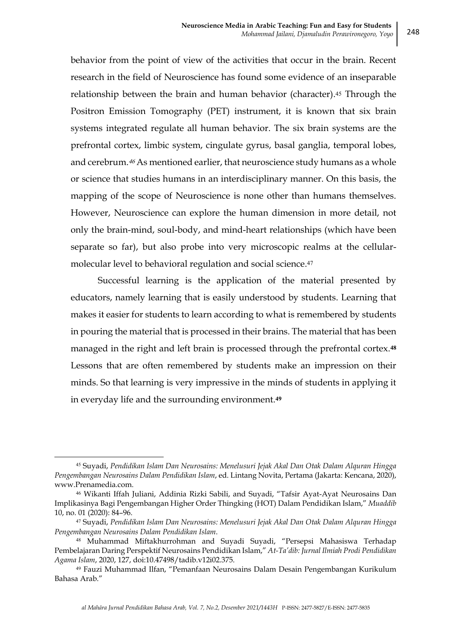behavior from the point of view of the activities that occur in the brain. Recent research in the field of Neuroscience has found some evidence of an inseparable relationship between the brain and human behavior (character).<sup>45</sup> Through the Positron Emission Tomography (PET) instrument, it is known that six brain systems integrated regulate all human behavior. The six brain systems are the prefrontal cortex, limbic system, cingulate gyrus, basal ganglia, temporal lobes, and cerebrum.<sup>46</sup> As mentioned earlier, that neuroscience study humans as a whole or science that studies humans in an interdisciplinary manner. On this basis, the mapping of the scope of Neuroscience is none other than humans themselves. However, Neuroscience can explore the human dimension in more detail, not only the brain-mind, soul-body, and mind-heart relationships (which have been separate so far), but also probe into very microscopic realms at the cellularmolecular level to behavioral regulation and social science.<sup>47</sup>

Successful learning is the application of the material presented by educators, namely learning that is easily understood by students. Learning that makes it easier for students to learn according to what is remembered by students in pouring the material that is processed in their brains. The material that has been managed in the right and left brain is processed through the prefrontal cortex.**<sup>48</sup>** Lessons that are often remembered by students make an impression on their minds. So that learning is very impressive in the minds of students in applying it in everyday life and the surrounding environment.**<sup>49</sup>**

<sup>45</sup> Suyadi, *Pendidikan Islam Dan Neurosains: Menelusuri Jejak Akal Dan Otak Dalam Alquran Hingga Pengembangan Neurosains Dalam Pendidikan Islam*, ed. Lintang Novita, Pertama (Jakarta: Kencana, 2020), www.Prenamedia.com.

<sup>46</sup> Wikanti Iffah Juliani, Addinia Rizki Sabili, and Suyadi, "Tafsir Ayat-Ayat Neurosains Dan Implikasinya Bagi Pengembangan Higher Order Thingking (HOT) Dalam Pendidikan Islam," *Muaddib* 10, no. 01 (2020): 84–96.

<sup>47</sup> Suyadi, *Pendidikan Islam Dan Neurosains: Menelusuri Jejak Akal Dan Otak Dalam Alquran Hingga Pengembangan Neurosains Dalam Pendidikan Islam*.

<sup>48</sup> Muhammad Miftakhurrohman and Suyadi Suyadi, "Persepsi Mahasiswa Terhadap Pembelajaran Daring Perspektif Neurosains Pendidikan Islam," *At-Ta'dib: Jurnal Ilmiah Prodi Pendidikan Agama Islam*, 2020, 127, doi:10.47498/tadib.v12i02.375.

<sup>49</sup> Fauzi Muhammad Ilfan, "Pemanfaan Neurosains Dalam Desain Pengembangan Kurikulum Bahasa Arab."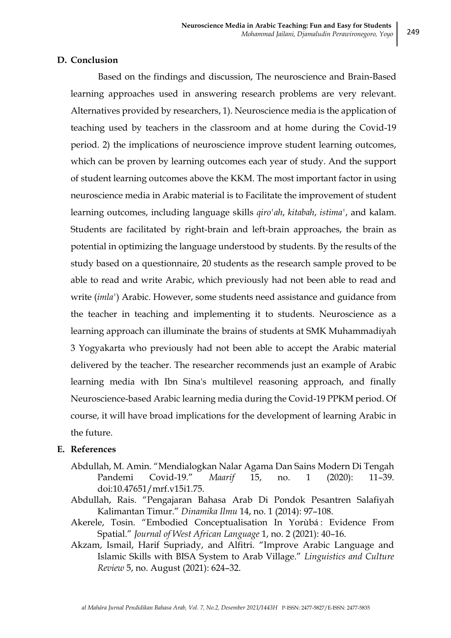### **D. Conclusion**

Based on the findings and discussion, The neuroscience and Brain-Based learning approaches used in answering research problems are very relevant. Alternatives provided by researchers, 1). Neuroscience media is the application of teaching used by teachers in the classroom and at home during the Covid-19 period. 2) the implications of neuroscience improve student learning outcomes, which can be proven by learning outcomes each year of study. And the support of student learning outcomes above the KKM. The most important factor in using neuroscience media in Arabic material is to Facilitate the improvement of student learning outcomes, including language skills *qiro'ah*, *kitabah*, *istima'*, and kalam. Students are facilitated by right-brain and left-brain approaches, the brain as potential in optimizing the language understood by students. By the results of the study based on a questionnaire, 20 students as the research sample proved to be able to read and write Arabic, which previously had not been able to read and write (*imla'*) Arabic. However, some students need assistance and guidance from the teacher in teaching and implementing it to students. Neuroscience as a learning approach can illuminate the brains of students at SMK Muhammadiyah 3 Yogyakarta who previously had not been able to accept the Arabic material delivered by the teacher. The researcher recommends just an example of Arabic learning media with Ibn Sina's multilevel reasoning approach, and finally Neuroscience-based Arabic learning media during the Covid-19 PPKM period. Of course, it will have broad implications for the development of learning Arabic in the future.

## **E. References**

- Abdullah, M. Amin. "Mendialogkan Nalar Agama Dan Sains Modern Di Tengah Pandemi Covid-19." *Maarif* 15, no. 1 (2020): 11–39. doi:10.47651/mrf.v15i1.75.
- Abdullah, Rais. "Pengajaran Bahasa Arab Di Pondok Pesantren Salafiyah Kalimantan Timur." *Dinamika Ilmu* 14, no. 1 (2014): 97–108.
- Akerele, Tosin. "Embodied Conceptualisation In Yorùbá : Evidence From Spatial." *Journal of West African Language* 1, no. 2 (2021): 40–16.
- Akzam, Ismail, Harif Supriady, and Alfitri. "Improve Arabic Language and Islamic Skills with BISA System to Arab Village." *Linguistics and Culture Review* 5, no. August (2021): 624–32.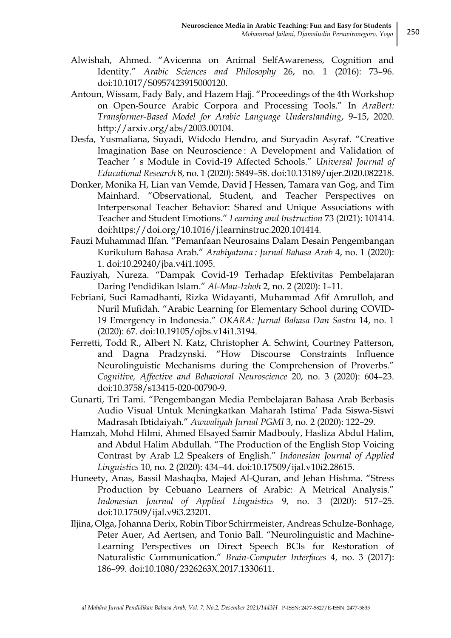- Alwishah, Ahmed. "Avicenna on Animal SelfAwareness, Cognition and Identity." *Arabic Sciences and Philosophy* 26, no. 1 (2016): 73–96. doi:10.1017/S0957423915000120.
- Antoun, Wissam, Fady Baly, and Hazem Hajj. "Proceedings of the 4th Workshop on Open-Source Arabic Corpora and Processing Tools." In *AraBert: Transformer-Based Model for Arabic Language Understanding*, 9–15, 2020. http://arxiv.org/abs/2003.00104.
- Desfa, Yusmaliana, Suyadi, Widodo Hendro, and Suryadin Asyraf. "Creative Imagination Base on Neuroscience : A Development and Validation of Teacher ' s Module in Covid-19 Affected Schools." *Universal Journal of Educational Research* 8, no. 1 (2020): 5849–58. doi:10.13189/ujer.2020.082218.
- Donker, Monika H, Lian van Vemde, David J Hessen, Tamara van Gog, and Tim Mainhard. "Observational, Student, and Teacher Perspectives on Interpersonal Teacher Behavior: Shared and Unique Associations with Teacher and Student Emotions." *Learning and Instruction* 73 (2021): 101414. doi:https://doi.org/10.1016/j.learninstruc.2020.101414.
- Fauzi Muhammad Ilfan. "Pemanfaan Neurosains Dalam Desain Pengembangan Kurikulum Bahasa Arab." *Arabiyatuna : Jurnal Bahasa Arab* 4, no. 1 (2020): 1. doi:10.29240/jba.v4i1.1095.
- Fauziyah, Nureza. "Dampak Covid-19 Terhadap Efektivitas Pembelajaran Daring Pendidikan Islam." *Al-Mau-Izhoh* 2, no. 2 (2020): 1–11.
- Febriani, Suci Ramadhanti, Rizka Widayanti, Muhammad Afif Amrulloh, and Nuril Mufidah. "Arabic Learning for Elementary School during COVID-19 Emergency in Indonesia." *OKARA: Jurnal Bahasa Dan Sastra* 14, no. 1 (2020): 67. doi:10.19105/ojbs.v14i1.3194.
- Ferretti, Todd R., Albert N. Katz, Christopher A. Schwint, Courtney Patterson, and Dagna Pradzynski. "How Discourse Constraints Influence Neurolinguistic Mechanisms during the Comprehension of Proverbs." *Cognitive, Affective and Behavioral Neuroscience* 20, no. 3 (2020): 604–23. doi:10.3758/s13415-020-00790-9.
- Gunarti, Tri Tami. "Pengembangan Media Pembelajaran Bahasa Arab Berbasis Audio Visual Untuk Meningkatkan Maharah Istima' Pada Siswa-Siswi Madrasah Ibtidaiyah." *Awwaliyah Jurnal PGMI* 3, no. 2 (2020): 122–29.
- Hamzah, Mohd Hilmi, Ahmed Elsayed Samir Madbouly, Hasliza Abdul Halim, and Abdul Halim Abdullah. "The Production of the English Stop Voicing Contrast by Arab L2 Speakers of English." *Indonesian Journal of Applied Linguistics* 10, no. 2 (2020): 434–44. doi:10.17509/ijal.v10i2.28615.
- Huneety, Anas, Bassil Mashaqba, Majed Al-Quran, and Jehan Hishma. "Stress Production by Cebuano Learners of Arabic: A Metrical Analysis." *Indonesian Journal of Applied Linguistics* 9, no. 3 (2020): 517–25. doi:10.17509/ijal.v9i3.23201.
- Iljina, Olga, Johanna Derix, Robin Tibor Schirrmeister, Andreas Schulze-Bonhage, Peter Auer, Ad Aertsen, and Tonio Ball. "Neurolinguistic and Machine-Learning Perspectives on Direct Speech BCIs for Restoration of Naturalistic Communication." *Brain-Computer Interfaces* 4, no. 3 (2017): 186–99. doi:10.1080/2326263X.2017.1330611.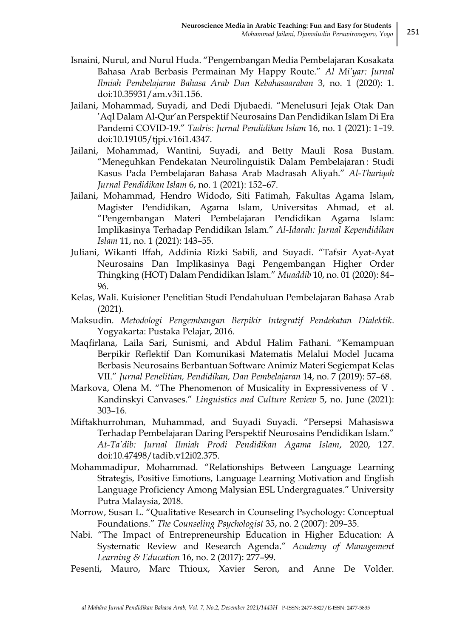- Isnaini, Nurul, and Nurul Huda. "Pengembangan Media Pembelajaran Kosakata Bahasa Arab Berbasis Permainan My Happy Route." *Al Mi'yar: Jurnal Ilmiah Pembelajaran Bahasa Arab Dan Kebahasaaraban* 3, no. 1 (2020): 1. doi:10.35931/am.v3i1.156.
- Jailani, Mohammad, Suyadi, and Dedi Djubaedi. "Menelusuri Jejak Otak Dan 'Aql Dalam Al-Qur'an Perspektif Neurosains Dan Pendidikan Islam Di Era Pandemi COVID-19." *Tadris: Jurnal Pendidikan Islam* 16, no. 1 (2021): 1–19. doi:10.19105/tjpi.v16i1.4347.
- Jailani, Mohammad, Wantini, Suyadi, and Betty Mauli Rosa Bustam. "Meneguhkan Pendekatan Neurolinguistik Dalam Pembelajaran : Studi Kasus Pada Pembelajaran Bahasa Arab Madrasah Aliyah." *Al-Thariqah Jurnal Pendidikan Islam* 6, no. 1 (2021): 152–67.
- Jailani, Mohammad, Hendro Widodo, Siti Fatimah, Fakultas Agama Islam, Magister Pendidikan, Agama Islam, Universitas Ahmad, et al. "Pengembangan Materi Pembelajaran Pendidikan Agama Islam: Implikasinya Terhadap Pendidikan Islam." *Al-Idarah: Jurnal Kependidikan Islam* 11, no. 1 (2021): 143–55.
- Juliani, Wikanti Iffah, Addinia Rizki Sabili, and Suyadi. "Tafsir Ayat-Ayat Neurosains Dan Implikasinya Bagi Pengembangan Higher Order Thingking (HOT) Dalam Pendidikan Islam." *Muaddib* 10, no. 01 (2020): 84– 96.
- Kelas, Wali. Kuisioner Penelitian Studi Pendahuluan Pembelajaran Bahasa Arab (2021).
- Maksudin. *Metodologi Pengembangan Berpikir Integratif Pendekatan Dialektik*. Yogyakarta: Pustaka Pelajar, 2016.
- Maqfirlana, Laila Sari, Sunismi, and Abdul Halim Fathani. "Kemampuan Berpikir Reflektif Dan Komunikasi Matematis Melalui Model Jucama Berbasis Neurosains Berbantuan Software Animiz Materi Segiempat Kelas VII." *Jurnal Penelitian, Pendidikan, Dan Pembelajaran* 14, no. 7 (2019): 57–68.
- Markova, Оlena M. "The Phenomenon of Musicality in Expressiveness of V . Kandinskyi Canvases." *Linguistics and Culture Review* 5, no. June (2021): 303–16.
- Miftakhurrohman, Muhammad, and Suyadi Suyadi. "Persepsi Mahasiswa Terhadap Pembelajaran Daring Perspektif Neurosains Pendidikan Islam." *At-Ta'dib: Jurnal Ilmiah Prodi Pendidikan Agama Islam*, 2020, 127. doi:10.47498/tadib.v12i02.375.
- Mohammadipur, Mohammad. "Relationships Between Language Learning Strategis, Positive Emotions, Language Learning Motivation and English Language Proficiency Among Malysian ESL Undergraguates." University Putra Malaysia, 2018.
- Morrow, Susan L. "Qualitative Research in Counseling Psychology: Conceptual Foundations." *The Counseling Psychologist* 35, no. 2 (2007): 209–35.
- Nabi. "The Impact of Entrepreneurship Education in Higher Education: A Systematic Review and Research Agenda." *Academy of Management Learning & Education* 16, no. 2 (2017): 277–99.
- Pesenti, Mauro, Marc Thioux, Xavier Seron, and Anne De Volder.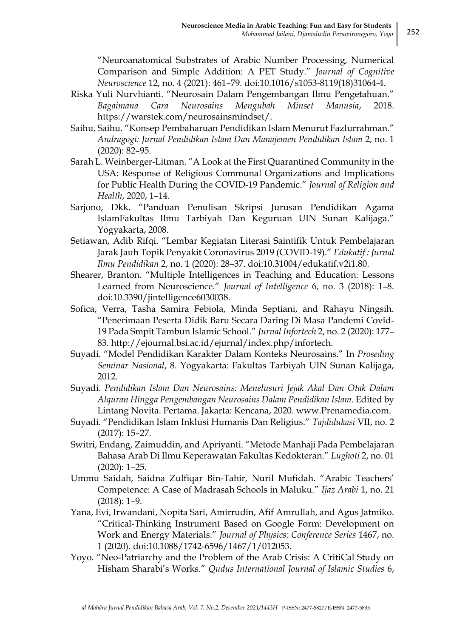"Neuroanatomical Substrates of Arabic Number Processing, Numerical Comparison and Simple Addition: A PET Study." *Journal of Cognitive Neuroscience* 12, no. 4 (2021): 461–79. doi:10.1016/s1053-8119(18)31064-4.

- Riska Yuli Nurvhianti. "Neurosain Dalam Pengembangan Ilmu Pengetahuan." *Bagaimana Cara Neurosains Mengubah Minset Manusia*, 2018. https://warstek.com/neurosainsmindset/.
- Saihu, Saihu. "Konsep Pembaharuan Pendidikan Islam Menurut Fazlurrahman." *Andragogi: Jurnal Pendidikan Islam Dan Manajemen Pendidikan Islam* 2, no. 1 (2020): 82–95.
- Sarah L. Weinberger-Litman. "A Look at the First Quarantined Community in the USA: Response of Religious Communal Organizations and Implications for Public Health During the COVID-19 Pandemic." *Journal of Religion and Health*, 2020, 1–14.
- Sarjono, Dkk. "Panduan Penulisan Skripsi Jurusan Pendidikan Agama IslamFakultas Ilmu Tarbiyah Dan Keguruan UIN Sunan Kalijaga." Yogyakarta, 2008.
- Setiawan, Adib Rifqi. "Lembar Kegiatan Literasi Saintifik Untuk Pembelajaran Jarak Jauh Topik Penyakit Coronavirus 2019 (COVID-19)." *Edukatif : Jurnal Ilmu Pendidikan* 2, no. 1 (2020): 28–37. doi:10.31004/edukatif.v2i1.80.
- Shearer, Branton. "Multiple Intelligences in Teaching and Education: Lessons Learned from Neuroscience." *Journal of Intelligence* 6, no. 3 (2018): 1–8. doi:10.3390/jintelligence6030038.
- Sofica, Verra, Tasha Samira Febiola, Minda Septiani, and Rahayu Ningsih. "Penerimaan Peserta Didik Baru Secara Daring Di Masa Pandemi Covid-19 Pada Smpit Tambun Islamic School." *Jurnal Infortech* 2, no. 2 (2020): 177– 83. http://ejournal.bsi.ac.id/ejurnal/index.php/infortech.
- Suyadi. "Model Pendidikan Karakter Dalam Konteks Neurosains." In *Proseding Seminar Nasional*, 8. Yogyakarta: Fakultas Tarbiyah UIN Sunan Kalijaga, 2012.
- Suyadi. *Pendidikan Islam Dan Neurosains: Menelusuri Jejak Akal Dan Otak Dalam Alquran Hingga Pengembangan Neurosains Dalam Pendidikan Islam*. Edited by Lintang Novita. Pertama. Jakarta: Kencana, 2020. www.Prenamedia.com.
- Suyadi. "Pendidikan Islam Inklusi Humanis Dan Religius." *Tajdidukasi* VII, no. 2 (2017): 15–27.
- Switri, Endang, Zaimuddin, and Apriyanti. "Metode Manhaji Pada Pembelajaran Bahasa Arab Di Ilmu Keperawatan Fakultas Kedokteran." *Lughoti* 2, no. 01 (2020): 1–25.
- Ummu Saidah, Saidna Zulfiqar Bin-Tahir, Nuril Mufidah. "Arabic Teachers' Competence: A Case of Madrasah Schools in Maluku." *Ijaz Arabi* 1, no. 21 (2018): 1–9.
- Yana, Evi, Irwandani, Nopita Sari, Amirrudin, Afif Amrullah, and Agus Jatmiko. "Critical-Thinking Instrument Based on Google Form: Development on Work and Energy Materials." *Journal of Physics: Conference Series* 1467, no. 1 (2020). doi:10.1088/1742-6596/1467/1/012053.
- Yoyo. "Neo-Patriarchy and the Problem of the Arab Crisis: A CritiCal Study on Hisham Sharabi's Works." *Qudus International Journal of Islamic Studies* 6,